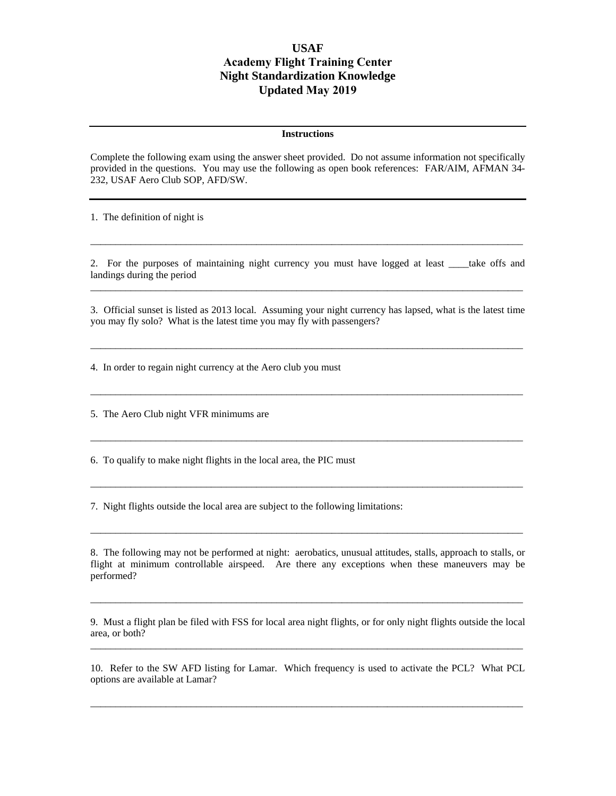## **USAF Academy Flight Training Center Night Standardization Knowledge Updated May 2019**

## **Instructions**

Complete the following exam using the answer sheet provided. Do not assume information not specifically provided in the questions. You may use the following as open book references: FAR/AIM, AFMAN 34- 232, USAF Aero Club SOP, AFD/SW.

1. The definition of night is

2. For the purposes of maintaining night currency you must have logged at least \_\_\_\_take offs and landings during the period  $\_$  ,  $\_$  ,  $\_$  ,  $\_$  ,  $\_$  ,  $\_$  ,  $\_$  ,  $\_$  ,  $\_$  ,  $\_$  ,  $\_$  ,  $\_$  ,  $\_$  ,  $\_$  ,  $\_$  ,  $\_$  ,  $\_$  ,  $\_$  ,  $\_$  ,  $\_$  ,  $\_$  ,  $\_$  ,  $\_$  ,  $\_$  ,  $\_$  ,  $\_$  ,  $\_$  ,  $\_$  ,  $\_$  ,  $\_$  ,  $\_$  ,  $\_$  ,  $\_$  ,  $\_$  ,  $\_$  ,  $\_$  ,  $\_$  ,

 $\_$  ,  $\_$  ,  $\_$  ,  $\_$  ,  $\_$  ,  $\_$  ,  $\_$  ,  $\_$  ,  $\_$  ,  $\_$  ,  $\_$  ,  $\_$  ,  $\_$  ,  $\_$  ,  $\_$  ,  $\_$  ,  $\_$  ,  $\_$  ,  $\_$  ,  $\_$  ,  $\_$  ,  $\_$  ,  $\_$  ,  $\_$  ,  $\_$  ,  $\_$  ,  $\_$  ,  $\_$  ,  $\_$  ,  $\_$  ,  $\_$  ,  $\_$  ,  $\_$  ,  $\_$  ,  $\_$  ,  $\_$  ,  $\_$  ,

3. Official sunset is listed as 2013 local. Assuming your night currency has lapsed, what is the latest time you may fly solo? What is the latest time you may fly with passengers?

 $\_$  ,  $\_$  ,  $\_$  ,  $\_$  ,  $\_$  ,  $\_$  ,  $\_$  ,  $\_$  ,  $\_$  ,  $\_$  ,  $\_$  ,  $\_$  ,  $\_$  ,  $\_$  ,  $\_$  ,  $\_$  ,  $\_$  ,  $\_$  ,  $\_$  ,  $\_$  ,  $\_$  ,  $\_$  ,  $\_$  ,  $\_$  ,  $\_$  ,  $\_$  ,  $\_$  ,  $\_$  ,  $\_$  ,  $\_$  ,  $\_$  ,  $\_$  ,  $\_$  ,  $\_$  ,  $\_$  ,  $\_$  ,  $\_$  ,

 $\_$  ,  $\_$  ,  $\_$  ,  $\_$  ,  $\_$  ,  $\_$  ,  $\_$  ,  $\_$  ,  $\_$  ,  $\_$  ,  $\_$  ,  $\_$  ,  $\_$  ,  $\_$  ,  $\_$  ,  $\_$  ,  $\_$  ,  $\_$  ,  $\_$  ,  $\_$  ,  $\_$  ,  $\_$  ,  $\_$  ,  $\_$  ,  $\_$  ,  $\_$  ,  $\_$  ,  $\_$  ,  $\_$  ,  $\_$  ,  $\_$  ,  $\_$  ,  $\_$  ,  $\_$  ,  $\_$  ,  $\_$  ,  $\_$  ,

 $\_$  ,  $\_$  ,  $\_$  ,  $\_$  ,  $\_$  ,  $\_$  ,  $\_$  ,  $\_$  ,  $\_$  ,  $\_$  ,  $\_$  ,  $\_$  ,  $\_$  ,  $\_$  ,  $\_$  ,  $\_$  ,  $\_$  ,  $\_$  ,  $\_$  ,  $\_$  ,  $\_$  ,  $\_$  ,  $\_$  ,  $\_$  ,  $\_$  ,  $\_$  ,  $\_$  ,  $\_$  ,  $\_$  ,  $\_$  ,  $\_$  ,  $\_$  ,  $\_$  ,  $\_$  ,  $\_$  ,  $\_$  ,  $\_$  ,

\_\_\_\_\_\_\_\_\_\_\_\_\_\_\_\_\_\_\_\_\_\_\_\_\_\_\_\_\_\_\_\_\_\_\_\_\_\_\_\_\_\_\_\_\_\_\_\_\_\_\_\_\_\_\_\_\_\_\_\_\_\_\_\_\_\_\_\_\_\_\_\_\_\_\_\_\_\_\_\_\_\_\_\_\_\_

4. In order to regain night currency at the Aero club you must

5. The Aero Club night VFR minimums are

6. To qualify to make night flights in the local area, the PIC must

7. Night flights outside the local area are subject to the following limitations:

8. The following may not be performed at night: aerobatics, unusual attitudes, stalls, approach to stalls, or flight at minimum controllable airspeed. Are there any exceptions when these maneuvers may be performed?

 $\_$  ,  $\_$  ,  $\_$  ,  $\_$  ,  $\_$  ,  $\_$  ,  $\_$  ,  $\_$  ,  $\_$  ,  $\_$  ,  $\_$  ,  $\_$  ,  $\_$  ,  $\_$  ,  $\_$  ,  $\_$  ,  $\_$  ,  $\_$  ,  $\_$  ,  $\_$  ,  $\_$  ,  $\_$  ,  $\_$  ,  $\_$  ,  $\_$  ,  $\_$  ,  $\_$  ,  $\_$  ,  $\_$  ,  $\_$  ,  $\_$  ,  $\_$  ,  $\_$  ,  $\_$  ,  $\_$  ,  $\_$  ,  $\_$  ,

9. Must a flight plan be filed with FSS for local area night flights, or for only night flights outside the local area, or both? \_\_\_\_\_\_\_\_\_\_\_\_\_\_\_\_\_\_\_\_\_\_\_\_\_\_\_\_\_\_\_\_\_\_\_\_\_\_\_\_\_\_\_\_\_\_\_\_\_\_\_\_\_\_\_\_\_\_\_\_\_\_\_\_\_\_\_\_\_\_\_\_\_\_\_\_\_\_\_\_\_\_\_\_\_\_

 $\_$  ,  $\_$  ,  $\_$  ,  $\_$  ,  $\_$  ,  $\_$  ,  $\_$  ,  $\_$  ,  $\_$  ,  $\_$  ,  $\_$  ,  $\_$  ,  $\_$  ,  $\_$  ,  $\_$  ,  $\_$  ,  $\_$  ,  $\_$  ,  $\_$  ,  $\_$  ,  $\_$  ,  $\_$  ,  $\_$  ,  $\_$  ,  $\_$  ,  $\_$  ,  $\_$  ,  $\_$  ,  $\_$  ,  $\_$  ,  $\_$  ,  $\_$  ,  $\_$  ,  $\_$  ,  $\_$  ,  $\_$  ,  $\_$  ,

10. Refer to the SW AFD listing for Lamar. Which frequency is used to activate the PCL? What PCL options are available at Lamar?

 $\_$  ,  $\_$  ,  $\_$  ,  $\_$  ,  $\_$  ,  $\_$  ,  $\_$  ,  $\_$  ,  $\_$  ,  $\_$  ,  $\_$  ,  $\_$  ,  $\_$  ,  $\_$  ,  $\_$  ,  $\_$  ,  $\_$  ,  $\_$  ,  $\_$  ,  $\_$  ,  $\_$  ,  $\_$  ,  $\_$  ,  $\_$  ,  $\_$  ,  $\_$  ,  $\_$  ,  $\_$  ,  $\_$  ,  $\_$  ,  $\_$  ,  $\_$  ,  $\_$  ,  $\_$  ,  $\_$  ,  $\_$  ,  $\_$  ,